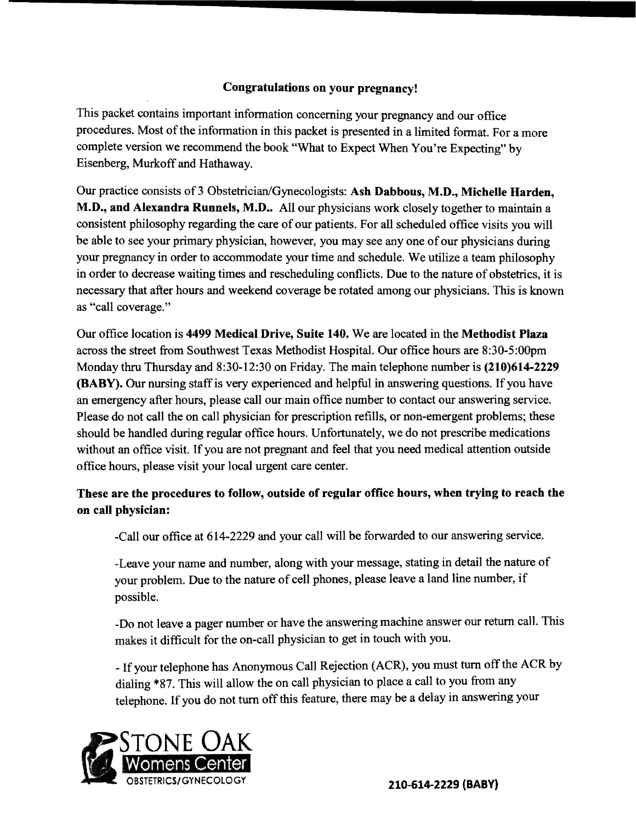### Congratulations on your pregnancy!

This packet contains important information concerning your pregnancy and our office procedures. Most of the information in this packet is presented in a limited format. For a more complete version we recommend the book "What to Expect When You're Expecting" by Eisenberg, Murkoff and Hathaway.

Our practice consists of 3 Obstetrician/Gynecologists: Ash Dabbous, M.D., Michelle Harden, M.D., and Alexandra Runnels, M.D.. All our physicians work closely together to maintain a consistent philosophy regarding the care of our patients. For all scheduled office visits you will be able to see your primary physician, however, you may see anyone ofour physicians during your pregnancy in order to accommodate your time and schedule. We utilize a team philosophy in order to decrease waiting times and rescheduling conflicts. Due to the nature of obstetrics, it is necessary that after hours and weekend coverage be rotated among our physicians. This is known as "call coverage."

Our office location is 4499 Medical Drive, Suite 140. We are located in the Methodist Plaza across the street from Southwest Texas Methodist Hospital. Our office hours are 8:30-S:0Opm Monday thru Thursday and 8:30-12:30 on Friday. The main telephone number is (210)614-2229 (BABY). Our nursing staffis very experienced and helpful in answering questions. If you have an emergency after hours, please call our main office number to contact our answering service. Please do not call the on call physician for prescription refills, or non-emergent problems; these should be handled during regular office hours. Unfortunately, we do not prescribe medications without an office visit. If you are not pregnant and feel that you need medical attention outside office hours, please visit your local urgent care center.

## These are the procedures to follow, outside of regular office hours, when trying to reach the on call physician:

-Call our office at 614-2229 and your call will be forwarded to our answering service.

-Leave your name and number, along with your message, stating in detail the nature of your problem. Due to the nature of cell phones, please leave a land line number, if possible.

-Do not leave a pager number or have the answering machine answer our return call. This makes it difficult for the on-call physician to get in touch with you.

\_If your telephone has Anonymous Call Rejection (ACR), you must tum offthe ACR by dialing \*87. This will allow the on call physician to place a call to you from any telephone. If you do not turn off this feature, there may be a delay in answering your

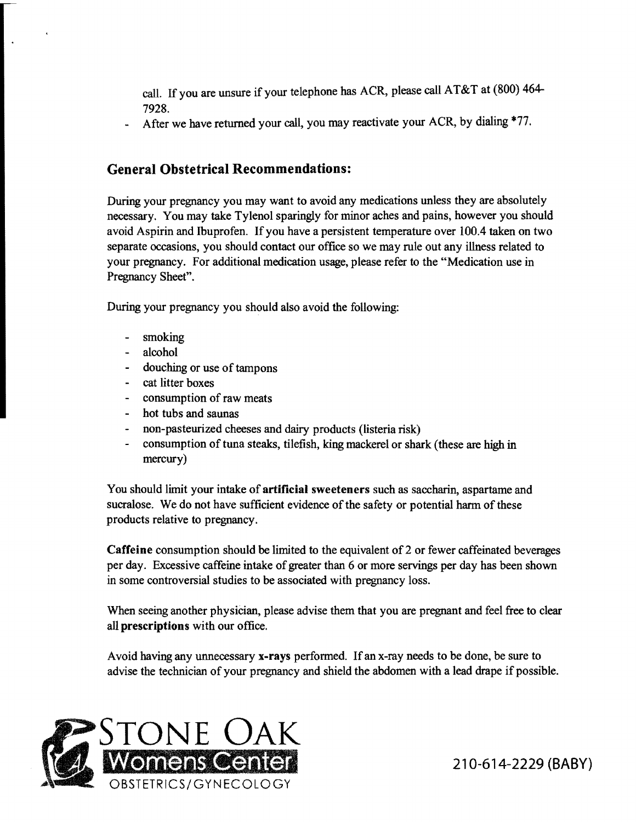call. If you are unsure if your telephone has ACR, please call AT&T at (800) 464 7928.

After we have returned your call, you may reactivate your ACR, by dialing \*77.

# General Obstetrical Recommendations:

During your pregnancy you may want to avoid any medications unless they are absolutely necessary. You may take Tylenol sparingly for minor aches and pains, however you should avoid Aspirin and Ibuprofen. If you have a persistent temperature over 100.4 taken on two separate occasions, you should contact our office so we may rule out any illness related to your pregnancy. For additional medication usage, please refer to the "Medication use in Pregnancy Sheet".

During your pregnancy you should also avoid the following:

- smoking
- alcohol  $\sim$
- douching or use of tampons
- cat litter boxes
- consumption of raw meats
- hot tubs and saunas
- non-pasteurized cheeses and dairy products (listeria risk)
- consumption of tuna steaks, tilefish, king mackerel or shark (these are high in mercury)

You should limit your intake of artificial sweeteners such as saccharin, aspartame and sucralose. We do not have sufficient evidence of the safety or potential harm of these products relative to pregnancy.

Caffeine consumption should be limited to the equivalent of 2 or fewer caffeinated beverages per day. Excessive caffeine intake of greater than 6 or more servings per day has been shown in some controversial studies to be associated with pregnancy loss.

When seeing another physician, please advise them that you are pregnant and feel free to clear all prescriptions with our office.

Avoid having any unnecessary x-rays performed. If an x-ray needs to be done, be sure to advise the technician of your pregnancy and shield the abdomen with a lead drape if possible.

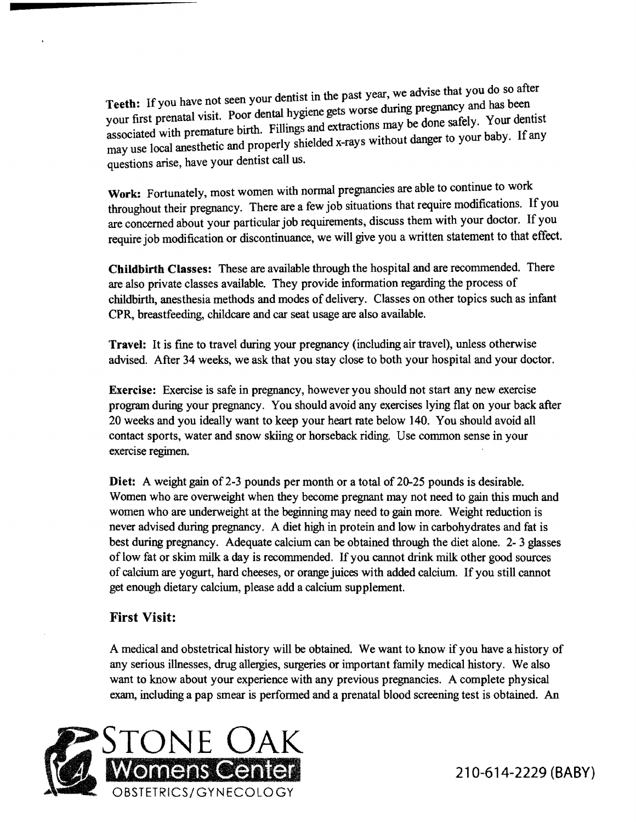Teeth: If you have not seen your dentist in the past year, we advise that you do so after Teeth: If you have not seen your dentist in the past year, we advise that you do be also your first prenatal visit. Poor dental hygiene gets worse during pregnancy and has been<br>your first prenatal visit. Poor dental hygiene gets worse during pregnancy and has been associated with premature birth. Fillings and extractions may be done safely. Your dentist may use local anesthetic and properly shielded x-rays without danger to your baby. If any questions arise, have your dentist call us.

Work: Fortunately, most women with normal pregnancies are able to continue to work throughout their pregnancy. There are a few job situations that require modifications. If you are concerned about your particular job requirements, discuss them with your doctor. If you require job modification or discontinuance, we will give you a written statement to that effect.

Childbirth Classes: These are available through the hospital and are recommended. There are also private classes available. They provide information regarding the process of childbirth, anesthesia methods and modes of delivery. Classes on other topics such as infant CPR, breastfeeding, childcare and car seat usage are also available.

Travel: It is fme to travel during your pregnancy (including air travel), unless otherwise advised. After 34 weeks, we ask that you stay close to both your hospital and your doctor.

Exercise: Exercise is safe in pregnancy, however you should not start any new exercise program during your pregnancy. You should avoid any exercises lying flat on your back after 20 weeks and you ideally want to keep your heart rate below 140. You should avoid all contact sports, water and snow skiing or horseback riding. Use common sense in your exercise regimen.

Diet: A weight gain of 2-3 pounds per month or a total of 20-25 pounds is desirable. Women who are overweight when they become pregnant may not need to gain this much and women who are underweight at the beginning may need to gain more. Weight reduction is never advised during pregnancy. A diet high in protein and low in carbohydrates and fat is best during pregnancy. Adequate calcium can be obtained through the diet alone. 2- 3 glasses of low fat or skim milk a day is recommended. If you cannot drink milk other good sources of calcium are yogurt, hard cheeses, or orange juices with added calcium. If you still cannot get enough dietary calcium, please add a calcium supplement.

## First Visit:

A medical and obstetrical history will be obtained. We want to know if you have a history of any serious illnesses, drug allergies, surgeries or important family medical history. We also want to know about your experience with any previous pregnancies. A complete physical exam, including a pap smear is performed and a prenatal blood screening test is obtained. An

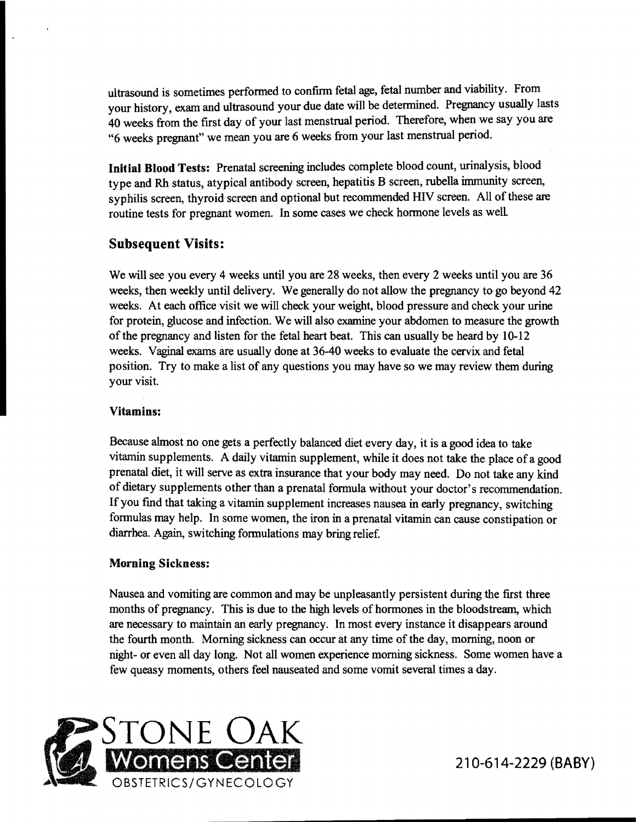ultrasound is sometimes performed to confirm fetal age, fetal number and viability. From your history, exam and ultrasound your due date will be determined. Pregnancy usually lasts 40 weeks from the fIrst day of your last menstrual period. Therefore, when we say you are "6 weeks pregnant" we mean you are 6 weeks from your last menstrual period.

Initial Blood Tests: Prenatal screening includes complete blood count, urinalysis, blood type and Rh status, atypical antibody screen, hepatitis B screen, rubella immunity screen, syphilis screen, thyroid screen and optional but recommended HIV screen. All of these are routine tests for pregnant women. In some cases we check honnone levels as well

### Subsequent Visits:

We will see you every 4 weeks until you are 28 weeks, then every 2 weeks until you are 36 weeks, then weekly until delivery. We generally do not allow the pregnancy to go beyond 42 weeks. At each office visit we will check your weight, blood pressure and check your urine for protein, glucose and infection. We will also examine your abdomen to measure the growth of the pregnancy and listen for the fetal heart beat. This can usually be heard by 10-12 weeks. Vaginal exams are usually done at 36-40 weeks to evaluate the cervix and fetal position. Try to make a list of any questions you may have so we may review them during your visit.

### Vitamins:

Because almost no one gets a perfectly balanced diet every day, it is a good idea to take vitamin supplements. A daily vitamin supplement, while it does not take the place ofa good prenatal diet, it will serve as extra insurance that your body may need. Do not take any kind of dietary supplements other than a prenatal formula without your doctor's recommendation. If you fmd that taking a vitamin supplement increases nausea in early pregnancy, switching fonnulas may help. In some women, the iron in a prenatal vitamin can cause constipation or diarrhea. Again, switching fonnulations may bring relief.

### Morning Sickness:

Nausea and vomiting are common and may be unpleasantly persistent during the first three months of pregnancy. This is due to the high levels of hormones in the bloodstream, which are necessary to maintain an early pregnancy. In most every instance it disappears around the fourth month. Morning sickness can occur at any time of the day, morning, noon or night- or even all day long. Not all women experience morning sickness. Some women have a few queasy moments, others feel nauseated and some vomit several times a day.

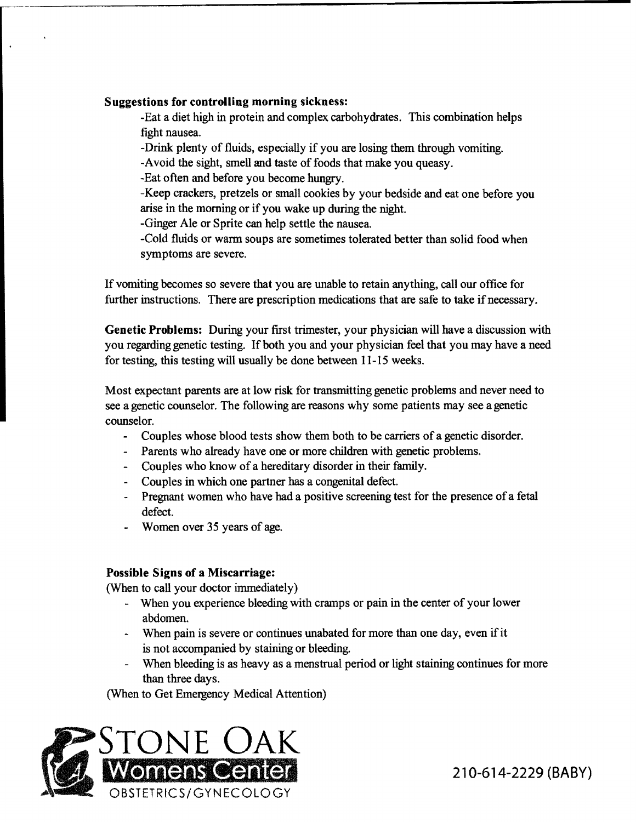#### Suggestions for controlling morning sickness:

-Eat a diet high in protein and complex carbohydrates. This combination helps fight nausea.

-Drink plenty of fluids, especially if you are losing them through vomiting.

-Avoid the sight, smell and taste of foods that make you queasy.

-Eat often and before you become hungry.

-Keep crackers, pretzels or small cookies by your bedside and eat one before you arise in the morning or if you wake up during the night.

-Ginger Ale or Sprite can help settle the nausea.

-Cold fluids or warm soups are sometimes tolerated better than solid food when symptoms are severe.

If vomiting becomes so severe that you are unable to retain anything, call our office for further instructions. There are prescription medications that are safe to take if necessary.

Genetic Problems: During your first trimester, your physician will have a discussion with you regarding genetic testing. If both you and your physician feel that you may have a need for testing, this testing will usually be done between 11-15 weeks.

Most expectant parents are at low risk for transmitting genetic problems and never need to see a genetic counselor. The following are reasons why some patients may see a genetic counselor.

- Couples whose blood tests show them both to be carriers of a genetic disorder.  $\blacksquare$
- Parents who already have one or more children with genetic problems.
- Couples who know of a hereditary disorder in their family.
- Couples in which one partner has a congenital defect.
- Pregnant women who have had a positive screening test for the presence of a fetal defect.
- Women over 35 years of age.

### Possible Signs of a Miscarriage:

(When to call your doctor immediately)

- When you experience bleeding with cramps or pain in the center of your lower abdomen.
- When pain is severe or continues unabated for more than one day, even if it is not accompanied by staining or bleeding.
- When bleeding is as heavy as a menstrual period or light staining continues for more than three days.

(When to Get Emergency Medical Attention)

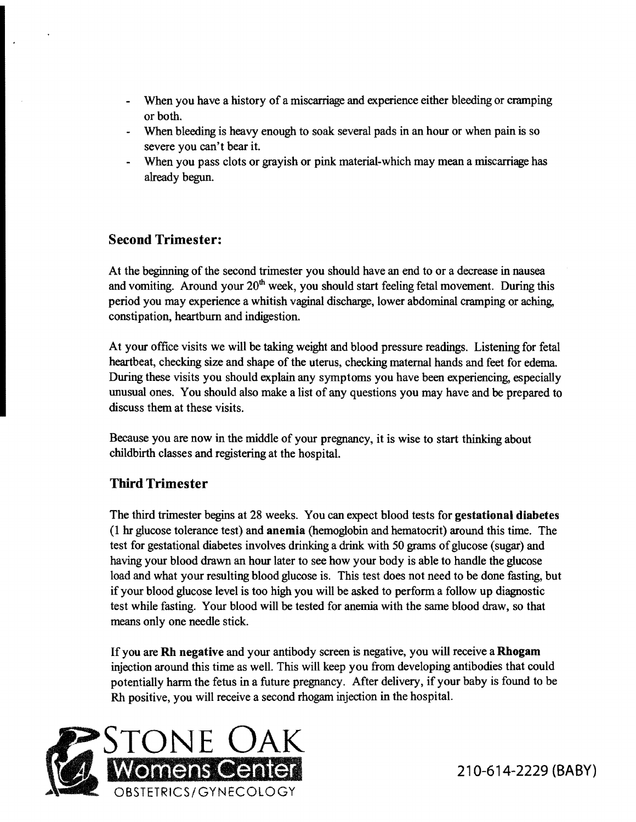- When you have a history of a miscarriage and experience either bleeding or cramping or both.
- When bleeding is heavy enough to soak several pads in an hour or when pain is so severe you can't bear it.
- When you pass clots or grayish or pink material-which may mean a miscarriage has already begun.

# Second Trimester:

At the beginning of the second trimester you should have an end to or a decrease in nausea and vomiting. Around your  $20<sup>th</sup>$  week, you should start feeling fetal movement. During this period you may experience a whitish vaginal discharge, lower abdominal cramping or aching, constipation, heartburn and indigestion.

At your office visits we will be taking weight and blood pressure readings. Listening for fetal heartbeat, checking size and shape of the uterus, checking maternal hands and feet for edema. During these visits you should explain any symptoms you have been experiencing, especially unusual ones. You should also make a list of any questions you may have and be prepared to discuss them at these visits.

Because you are now in the middle of your pregnancy, it is wise to start thinking about childbirth classes and registering at the hospital.

## Third Trimester

The third trimester begins at 28 weeks. You can expect blood tests for gestational diabetes (1 hr glucose tolerance test) and anemia (hemoglobin and hematocrit) around this time. The test for gestational diabetes involves drinking a drink with 50 grams ofglucose (sugar) and having your blood drawn an hour later to see how your body is able to handle the glucose load and what your resulting blood glucose is. This test does not need to be done fasting, but if your blood glucose level is too high you will be asked to perform a follow up diagnostic test while fasting. Your blood will be tested for anemia with the same blood draw, so that means only one needle stick.

If you are Rh negative and your antibody screen is negative, you will receive a Rhogam injection around this time as well. This will keep you from developing antibodies that could potentially harm the fetus in a future pregnancy. After delivery, if your baby is found to be Rh positive, you will receive a second rhogam injection in the hospital.

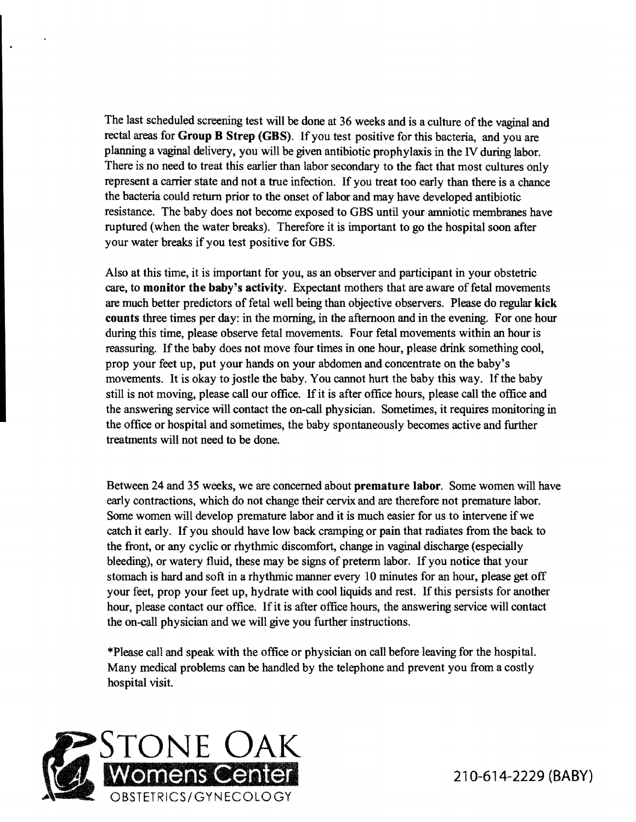The last scheduled screening test will be done at 36 weeks and is a culture of the vaginal and rectal areas for Group B Strep (GBS). If you test positive for this bacteria, and you are planning a vaginal delivery, you will be given antibiotic prophylaxis in the IV during labor. There is no need to treat this earlier than labor secondary to the fact that most cultures only represent a carrier state and not a true infection. If you treat too early than there is a chance the bacteria could return prior to the onset of labor and may have developed antibiotic resistance. The baby does not become exposed to GBS until your amniotic membranes have ruptured (when the water breaks). Therefore it is important to go the hospital soon after your water breaks if you test positive for GBS.

Also at this time, it is important for you, as an observer and participant in your obstetric care, to monitor the baby's activity. Expectant mothers that are aware of fetal movements are much better predictors of fetal well being than objective observers. Please do regular kick counts three times per day: in the morning, in the afternoon and in the evening. For one hour during this time, please observe fetal movements. Four fetal movements within an hour is reassuring. If the baby does not move four times in one hour, please drink something cool, prop your feet up, put your hands on your abdomen and concentrate on the baby's movements. It is okay to jostle the baby. You cannot hurt the baby this way. If the baby still is not moving, please call our office. If it is after office hours, please call the office and the answering service will contact the on-call physician. Sometimes, it requires monitoring in the office or hospital and sometimes, the baby spontaneously becomes active and further treatments will not need to be done.

Between 24 and 35 weeks, we are concerned about premature labor. Some women will have early contractions, which do not change their cervix and are therefore not premature labor. Some women will develop premature labor and it is much easier for us to intervene if we catch it early. If you should have low back cramping or pain that radiates from the back to the front, or any cyclic or rhythmic discomfort, change in vaginal discharge (especially bleeding), or watery fluid, these may be signs of preterm labor. If you notice that your stomach is hard and soft in a rhythmic manner every 10 minutes for an hour, please get off your feet, prop your feet up, hydrate with cool liquids and rest. If this persists for another hour, please contact our office. If it is after office hours, the answering service will contact the on-call physician and we will give you further instructions.

\*Please call and speak with the office or physician on call before leaving for the hospital. Many medical problems can be handled by the telephone and prevent you from a costly hospital visit.

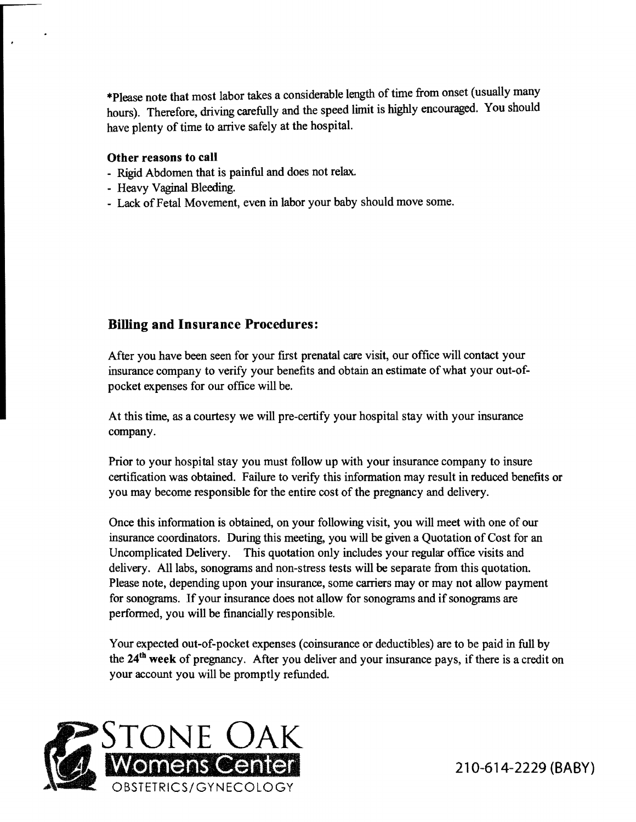\*Please note that most labor takes a considerable length of time from onset (usually many hours). Therefore, driving carefully and the speed limit is highly encouraged. You should have plenty of time to arrive safely at the hospital.

#### Other reasons to call

- Rigid Abdomen that is painful and does not relax.
- Heavy Vaginal Bleeding.
- Lack of Fetal Movement, even in labor your baby should move some.

## Billing and Insurance Procedures:

After you have been seen for your first prenatal care visit, our office will contact your insurance company to verify your benefits and obtain an estimate of what your out-ofpocket expenses for our office will be.

At this time, as a courtesy we will pre-certify your hospital stay with your insurance company.

Prior to your hospital stay you must follow up with your insurance company to insure certification was obtained. Failure to verify this information may result in reduced benefits or you may become responsible for the entire cost of the pregnancy and delivery.

Once this information is obtained, on your following visit, you will meet with one of our insurance coordinators. During this meeting, you will be given a Quotation of Cost for an Uncomplicated Delivery. This quotation only includes your regular office visits and delivery. All labs, sonograms and non-stress tests will be separate from this quotation. Please note, depending upon your insurance, some carriers mayor may not allow payment for sonograms. If your insurance does not allow for sonograms and if sonograms are performed, you will be fmancially responsible.

Your expected out-of-pocket expenses (coinsurance or deductibles) are to be paid in full by the 24<sup>th</sup> week of pregnancy. After you deliver and your insurance pays, if there is a credit on your account you will be promptly refunded.